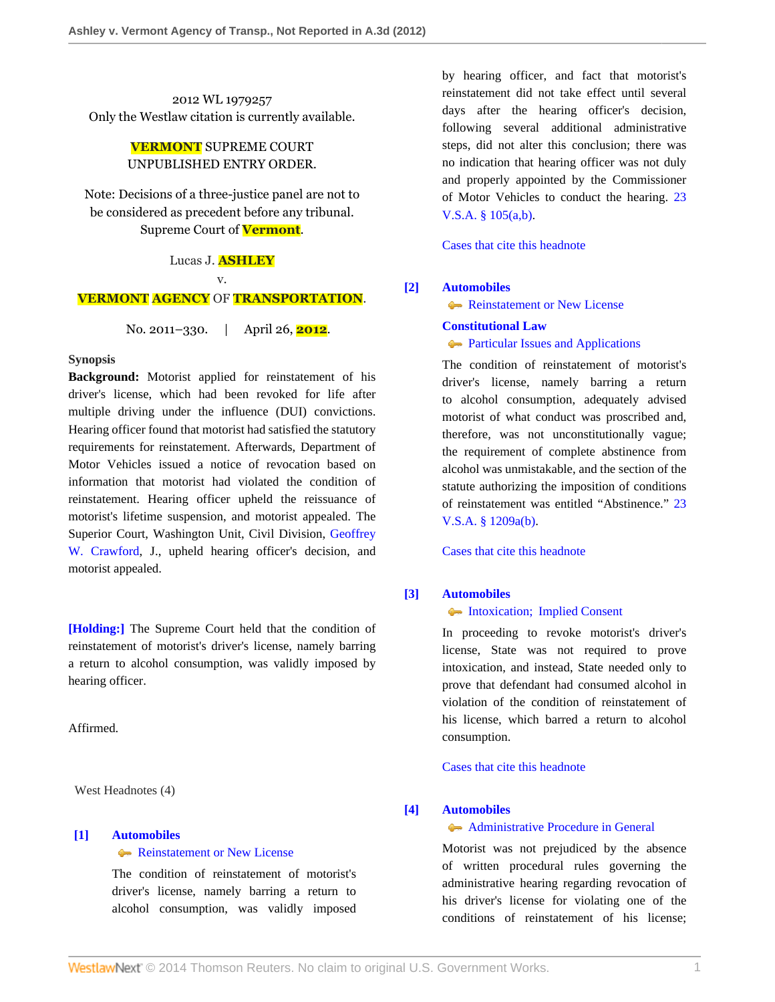2012 WL 1979257 Only the Westlaw citation is currently available.

# **VERMONT** SUPREME COURT UNPUBLISHED ENTRY ORDER.

Note: Decisions of a three-justice panel are not to be considered as precedent before any tribunal. Supreme Court of **Vermont**.

#### Lucas J. **ASHLEY**

v.

### **VERMONT AGENCY** OF **TRANSPORTATION**.

No. 2011–330. | April 26, **2012**.

#### **Synopsis**

**Background:** Motorist applied for reinstatement of his driver's license, which had been revoked for life after multiple driving under the influence (DUI) convictions. Hearing officer found that motorist had satisfied the statutory requirements for reinstatement. Afterwards, Department of Motor Vehicles issued a notice of revocation based on information that motorist had violated the condition of reinstatement. Hearing officer upheld the reissuance of motorist's lifetime suspension, and motorist appealed. The Superior Court, Washington Unit, Civil Division, [Geoffrey](http://www.westlaw.com/Link/Document/FullText?findType=h&pubNum=176284&cite=0157327902&originatingDoc=I7eb6baf1ae8a11e1b11ea85d0b248d27&refType=RQ&originationContext=document&vr=3.0&rs=cblt1.0&transitionType=DocumentItem&contextData=(sc.Search)) [W. Crawford](http://www.westlaw.com/Link/Document/FullText?findType=h&pubNum=176284&cite=0157327902&originatingDoc=I7eb6baf1ae8a11e1b11ea85d0b248d27&refType=RQ&originationContext=document&vr=3.0&rs=cblt1.0&transitionType=DocumentItem&contextData=(sc.Search)), J., upheld hearing officer's decision, and motorist appealed.

**[\[Holding:\]](#page-0-0)** The Supreme Court held that the condition of reinstatement of motorist's driver's license, namely barring a return to alcohol consumption, was validly imposed by hearing officer.

Affirmed.

West Headnotes (4)

## <span id="page-0-0"></span>**[\[1\]](#page-1-0) [Automobiles](http://www.westlaw.com/Browse/Home/KeyNumber/48A/View.html?docGuid=I7eb6baf1ae8a11e1b11ea85d0b248d27&originationContext=document&vr=3.0&rs=cblt1.0&transitionType=DocumentItem&contextData=(sc.Search))**

**[Reinstatement or New License](http://www.westlaw.com/Browse/Home/KeyNumber/48Ak144.7/View.html?docGuid=I7eb6baf1ae8a11e1b11ea85d0b248d27&originationContext=document&vr=3.0&rs=cblt1.0&transitionType=DocumentItem&contextData=(sc.Search))** 

The condition of reinstatement of motorist's driver's license, namely barring a return to alcohol consumption, was validly imposed by hearing officer, and fact that motorist's reinstatement did not take effect until several days after the hearing officer's decision, following several additional administrative steps, did not alter this conclusion; there was no indication that hearing officer was not duly and properly appointed by the Commissioner of Motor Vehicles to conduct the hearing. [23](http://www.westlaw.com/Link/Document/FullText?findType=L&pubNum=1000883&cite=VTST23S105&originatingDoc=I7eb6baf1ae8a11e1b11ea85d0b248d27&refType=LQ&originationContext=document&vr=3.0&rs=cblt1.0&transitionType=DocumentItem&contextData=(sc.Search)) [V.S.A. § 105\(a,b\).](http://www.westlaw.com/Link/Document/FullText?findType=L&pubNum=1000883&cite=VTST23S105&originatingDoc=I7eb6baf1ae8a11e1b11ea85d0b248d27&refType=LQ&originationContext=document&vr=3.0&rs=cblt1.0&transitionType=DocumentItem&contextData=(sc.Search))

[Cases that cite this headnote](http://www.westlaw.com/Link/RelatedInformation/DocHeadnoteLink?docGuid=I7eb6baf1ae8a11e1b11ea85d0b248d27&headnoteId=202782883700120120717&originationContext=document&vr=3.0&rs=cblt1.0&transitionType=CitingReferences&contextData=(sc.Search))

#### <span id="page-0-1"></span>**[\[2\]](#page-2-0) [Automobiles](http://www.westlaw.com/Browse/Home/KeyNumber/48A/View.html?docGuid=I7eb6baf1ae8a11e1b11ea85d0b248d27&originationContext=document&vr=3.0&rs=cblt1.0&transitionType=DocumentItem&contextData=(sc.Search))**

[Reinstatement or New License](http://www.westlaw.com/Browse/Home/KeyNumber/48Ak144.7/View.html?docGuid=I7eb6baf1ae8a11e1b11ea85d0b248d27&originationContext=document&vr=3.0&rs=cblt1.0&transitionType=DocumentItem&contextData=(sc.Search))

### **[Constitutional Law](http://www.westlaw.com/Browse/Home/KeyNumber/92/View.html?docGuid=I7eb6baf1ae8a11e1b11ea85d0b248d27&originationContext=document&vr=3.0&rs=cblt1.0&transitionType=DocumentItem&contextData=(sc.Search))**

**[Particular Issues and Applications](http://www.westlaw.com/Browse/Home/KeyNumber/92k1132/View.html?docGuid=I7eb6baf1ae8a11e1b11ea85d0b248d27&originationContext=document&vr=3.0&rs=cblt1.0&transitionType=DocumentItem&contextData=(sc.Search))** 

The condition of reinstatement of motorist's driver's license, namely barring a return to alcohol consumption, adequately advised motorist of what conduct was proscribed and, therefore, was not unconstitutionally vague; the requirement of complete abstinence from alcohol was unmistakable, and the section of the statute authorizing the imposition of conditions of reinstatement was entitled "Abstinence." [23](http://www.westlaw.com/Link/Document/FullText?findType=L&pubNum=1000883&cite=VTST23S1209A&originatingDoc=I7eb6baf1ae8a11e1b11ea85d0b248d27&refType=SP&originationContext=document&vr=3.0&rs=cblt1.0&transitionType=DocumentItem&contextData=(sc.Search)#co_pp_a83b000018c76) [V.S.A. § 1209a\(b\)](http://www.westlaw.com/Link/Document/FullText?findType=L&pubNum=1000883&cite=VTST23S1209A&originatingDoc=I7eb6baf1ae8a11e1b11ea85d0b248d27&refType=SP&originationContext=document&vr=3.0&rs=cblt1.0&transitionType=DocumentItem&contextData=(sc.Search)#co_pp_a83b000018c76).

[Cases that cite this headnote](http://www.westlaw.com/Link/RelatedInformation/DocHeadnoteLink?docGuid=I7eb6baf1ae8a11e1b11ea85d0b248d27&headnoteId=202782883700220120717&originationContext=document&vr=3.0&rs=cblt1.0&transitionType=CitingReferences&contextData=(sc.Search))

#### <span id="page-0-2"></span>**[\[3\]](#page-2-1) [Automobiles](http://www.westlaw.com/Browse/Home/KeyNumber/48A/View.html?docGuid=I7eb6baf1ae8a11e1b11ea85d0b248d27&originationContext=document&vr=3.0&rs=cblt1.0&transitionType=DocumentItem&contextData=(sc.Search))**

### [Intoxication; Implied Consent](http://www.westlaw.com/Browse/Home/KeyNumber/48Ak144.1(1.10)/View.html?docGuid=I7eb6baf1ae8a11e1b11ea85d0b248d27&originationContext=document&vr=3.0&rs=cblt1.0&transitionType=DocumentItem&contextData=(sc.Search))

In proceeding to revoke motorist's driver's license, State was not required to prove intoxication, and instead, State needed only to prove that defendant had consumed alcohol in violation of the condition of reinstatement of his license, which barred a return to alcohol consumption.

[Cases that cite this headnote](http://www.westlaw.com/Link/RelatedInformation/DocHeadnoteLink?docGuid=I7eb6baf1ae8a11e1b11ea85d0b248d27&headnoteId=202782883700320120717&originationContext=document&vr=3.0&rs=cblt1.0&transitionType=CitingReferences&contextData=(sc.Search))

### <span id="page-0-3"></span>**[\[4\]](#page-2-2) [Automobiles](http://www.westlaw.com/Browse/Home/KeyNumber/48A/View.html?docGuid=I7eb6baf1ae8a11e1b11ea85d0b248d27&originationContext=document&vr=3.0&rs=cblt1.0&transitionType=DocumentItem&contextData=(sc.Search))**

### [Administrative Procedure in General](http://www.westlaw.com/Browse/Home/KeyNumber/48Ak144.2(1)/View.html?docGuid=I7eb6baf1ae8a11e1b11ea85d0b248d27&originationContext=document&vr=3.0&rs=cblt1.0&transitionType=DocumentItem&contextData=(sc.Search))

Motorist was not prejudiced by the absence of written procedural rules governing the administrative hearing regarding revocation of his driver's license for violating one of the conditions of reinstatement of his license;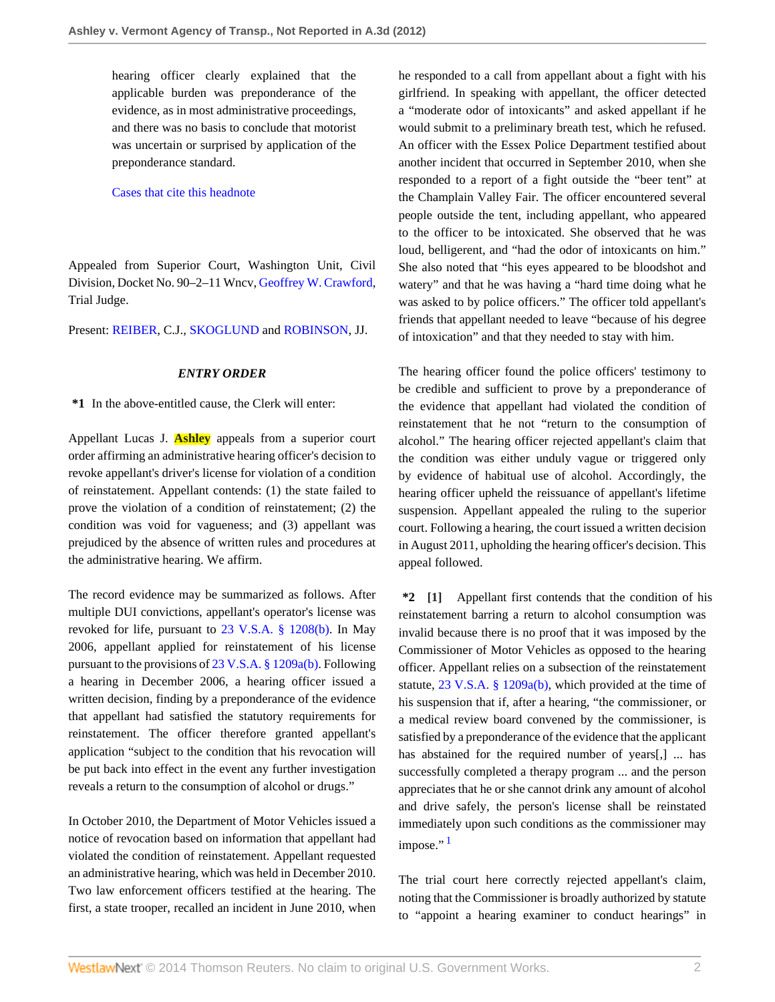hearing officer clearly explained that the applicable burden was preponderance of the evidence, as in most administrative proceedings, and there was no basis to conclude that motorist was uncertain or surprised by application of the preponderance standard.

### [Cases that cite this headnote](http://www.westlaw.com/Link/RelatedInformation/DocHeadnoteLink?docGuid=I7eb6baf1ae8a11e1b11ea85d0b248d27&headnoteId=202782883700420120717&originationContext=document&vr=3.0&rs=cblt1.0&transitionType=CitingReferences&contextData=(sc.Search))

Appealed from Superior Court, Washington Unit, Civil Division, Docket No. 90–2–11 Wncv, [Geoffrey W. Crawford,](http://www.westlaw.com/Link/Document/FullText?findType=h&pubNum=176284&cite=0157327902&originatingDoc=I7eb6baf1ae8a11e1b11ea85d0b248d27&refType=RQ&originationContext=document&vr=3.0&rs=cblt1.0&transitionType=DocumentItem&contextData=(sc.Search)) Trial Judge.

Present: [REIBER](http://www.westlaw.com/Link/Document/FullText?findType=h&pubNum=176284&cite=0141970501&originatingDoc=I7eb6baf1ae8a11e1b11ea85d0b248d27&refType=RQ&originationContext=document&vr=3.0&rs=cblt1.0&transitionType=DocumentItem&contextData=(sc.Search)), C.J., [SKOGLUND](http://www.westlaw.com/Link/Document/FullText?findType=h&pubNum=176284&cite=0197190101&originatingDoc=I7eb6baf1ae8a11e1b11ea85d0b248d27&refType=RQ&originationContext=document&vr=3.0&rs=cblt1.0&transitionType=DocumentItem&contextData=(sc.Search)) and [ROBINSON](http://www.westlaw.com/Link/Document/FullText?findType=h&pubNum=176284&cite=0175240301&originatingDoc=I7eb6baf1ae8a11e1b11ea85d0b248d27&refType=RQ&originationContext=document&vr=3.0&rs=cblt1.0&transitionType=DocumentItem&contextData=(sc.Search)), JJ.

### *ENTRY ORDER*

**\*1** In the above-entitled cause, the Clerk will enter:

Appellant Lucas J. **Ashley** appeals from a superior court order affirming an administrative hearing officer's decision to revoke appellant's driver's license for violation of a condition of reinstatement. Appellant contends: (1) the state failed to prove the violation of a condition of reinstatement; (2) the condition was void for vagueness; and (3) appellant was prejudiced by the absence of written rules and procedures at the administrative hearing. We affirm.

The record evidence may be summarized as follows. After multiple DUI convictions, appellant's operator's license was revoked for life, pursuant to [23 V.S.A. § 1208\(b\)](http://www.westlaw.com/Link/Document/FullText?findType=L&pubNum=1000883&cite=VTST23S1208&originatingDoc=I7eb6baf1ae8a11e1b11ea85d0b248d27&refType=SP&originationContext=document&vr=3.0&rs=cblt1.0&transitionType=DocumentItem&contextData=(sc.Search)#co_pp_a83b000018c76). In May 2006, appellant applied for reinstatement of his license pursuant to the provisions of [23 V.S.A. § 1209a\(b\).](http://www.westlaw.com/Link/Document/FullText?findType=L&pubNum=1000883&cite=VTST23S1209A&originatingDoc=I7eb6baf1ae8a11e1b11ea85d0b248d27&refType=SP&originationContext=document&vr=3.0&rs=cblt1.0&transitionType=DocumentItem&contextData=(sc.Search)#co_pp_a83b000018c76) Following a hearing in December 2006, a hearing officer issued a written decision, finding by a preponderance of the evidence that appellant had satisfied the statutory requirements for reinstatement. The officer therefore granted appellant's application "subject to the condition that his revocation will be put back into effect in the event any further investigation reveals a return to the consumption of alcohol or drugs."

In October 2010, the Department of Motor Vehicles issued a notice of revocation based on information that appellant had violated the condition of reinstatement. Appellant requested an administrative hearing, which was held in December 2010. Two law enforcement officers testified at the hearing. The first, a state trooper, recalled an incident in June 2010, when he responded to a call from appellant about a fight with his girlfriend. In speaking with appellant, the officer detected a "moderate odor of intoxicants" and asked appellant if he would submit to a preliminary breath test, which he refused. An officer with the Essex Police Department testified about another incident that occurred in September 2010, when she responded to a report of a fight outside the "beer tent" at the Champlain Valley Fair. The officer encountered several people outside the tent, including appellant, who appeared to the officer to be intoxicated. She observed that he was loud, belligerent, and "had the odor of intoxicants on him." She also noted that "his eyes appeared to be bloodshot and watery" and that he was having a "hard time doing what he was asked to by police officers." The officer told appellant's friends that appellant needed to leave "because of his degree of intoxication" and that they needed to stay with him.

The hearing officer found the police officers' testimony to be credible and sufficient to prove by a preponderance of the evidence that appellant had violated the condition of reinstatement that he not "return to the consumption of alcohol." The hearing officer rejected appellant's claim that the condition was either unduly vague or triggered only by evidence of habitual use of alcohol. Accordingly, the hearing officer upheld the reissuance of appellant's lifetime suspension. Appellant appealed the ruling to the superior court. Following a hearing, the court issued a written decision in August 2011, upholding the hearing officer's decision. This appeal followed.

<span id="page-1-0"></span>**\*2 [\[1](#page-0-0)]** Appellant first contends that the condition of his reinstatement barring a return to alcohol consumption was invalid because there is no proof that it was imposed by the Commissioner of Motor Vehicles as opposed to the hearing officer. Appellant relies on a subsection of the reinstatement statute, [23 V.S.A. § 1209a\(b\)](http://www.westlaw.com/Link/Document/FullText?findType=L&pubNum=1000883&cite=VTST23S1209A&originatingDoc=I7eb6baf1ae8a11e1b11ea85d0b248d27&refType=SP&originationContext=document&vr=3.0&rs=cblt1.0&transitionType=DocumentItem&contextData=(sc.Search)#co_pp_a83b000018c76), which provided at the time of his suspension that if, after a hearing, "the commissioner, or a medical review board convened by the commissioner, is satisfied by a preponderance of the evidence that the applicant has abstained for the required number of years[,] ... has successfully completed a therapy program ... and the person appreciates that he or she cannot drink any amount of alcohol and drive safely, the person's license shall be reinstated immediately upon such conditions as the commissioner may  $impose.$ <sup>"[1](#page-3-0)</sup>

<span id="page-1-1"></span>The trial court here correctly rejected appellant's claim, noting that the Commissioner is broadly authorized by statute to "appoint a hearing examiner to conduct hearings" in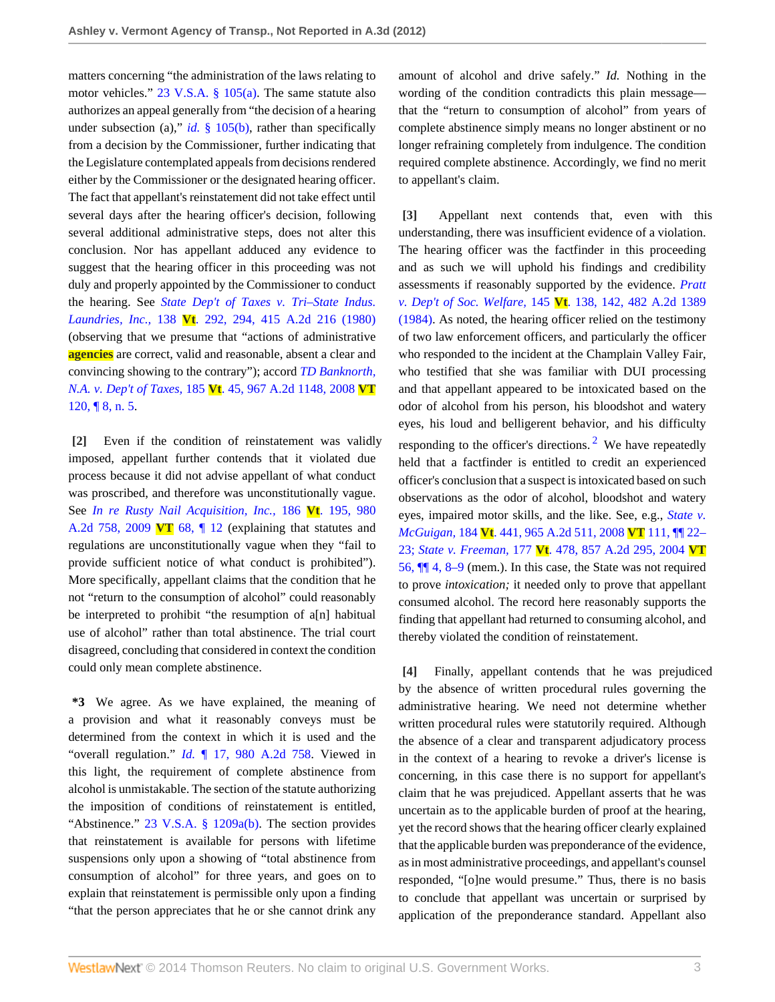matters concerning "the administration of the laws relating to motor vehicles." [23 V.S.A. § 105\(a\).](http://www.westlaw.com/Link/Document/FullText?findType=L&pubNum=1000883&cite=VTST23S105&originatingDoc=I7eb6baf1ae8a11e1b11ea85d0b248d27&refType=SP&originationContext=document&vr=3.0&rs=cblt1.0&transitionType=DocumentItem&contextData=(sc.Search)#co_pp_8b3b0000958a4) The same statute also authorizes an appeal generally from "the decision of a hearing under subsection (a)," *id.* [§ 105\(b\)](http://www.westlaw.com/Link/Document/FullText?findType=L&pubNum=1000883&cite=VTST23S105&originatingDoc=I7eb6baf1ae8a11e1b11ea85d0b248d27&refType=SP&originationContext=document&vr=3.0&rs=cblt1.0&transitionType=DocumentItem&contextData=(sc.Search)#co_pp_a83b000018c76), rather than specifically from a decision by the Commissioner, further indicating that the Legislature contemplated appeals from decisions rendered either by the Commissioner or the designated hearing officer. The fact that appellant's reinstatement did not take effect until several days after the hearing officer's decision, following several additional administrative steps, does not alter this conclusion. Nor has appellant adduced any evidence to suggest that the hearing officer in this proceeding was not duly and properly appointed by the Commissioner to conduct the hearing. See *[State Dep't of Taxes v. Tri–State Indus.](http://www.westlaw.com/Link/Document/FullText?findType=Y&serNum=1980112271&pubNum=162&originationContext=document&vr=3.0&rs=cblt1.0&transitionType=DocumentItem&contextData=(sc.Search)) Laundries, Inc.,* 138 **Vt**[. 292, 294, 415 A.2d 216 \(1980\)](http://www.westlaw.com/Link/Document/FullText?findType=Y&serNum=1980112271&pubNum=162&originationContext=document&vr=3.0&rs=cblt1.0&transitionType=DocumentItem&contextData=(sc.Search)) (observing that we presume that "actions of administrative **agencies** are correct, valid and reasonable, absent a clear and convincing showing to the contrary"); accord *[TD Banknorth,](http://www.westlaw.com/Link/Document/FullText?findType=Y&serNum=2017094702&pubNum=162&originationContext=document&vr=3.0&rs=cblt1.0&transitionType=DocumentItem&contextData=(sc.Search)) N.A. v. Dep't of Taxes,* 185 **Vt**[. 45, 967 A.2d 1148, 2008](http://www.westlaw.com/Link/Document/FullText?findType=Y&serNum=2017094702&pubNum=162&originationContext=document&vr=3.0&rs=cblt1.0&transitionType=DocumentItem&contextData=(sc.Search)) **VT** [120, ¶ 8, n. 5](http://www.westlaw.com/Link/Document/FullText?findType=Y&serNum=2017094702&pubNum=162&originationContext=document&vr=3.0&rs=cblt1.0&transitionType=DocumentItem&contextData=(sc.Search)).

<span id="page-2-0"></span>**[\[2\]](#page-0-1)** Even if the condition of reinstatement was validly imposed, appellant further contends that it violated due process because it did not advise appellant of what conduct was proscribed, and therefore was unconstitutionally vague. See *[In re Rusty Nail Acquisition, Inc.,](http://www.westlaw.com/Link/Document/FullText?findType=Y&serNum=2019550622&pubNum=162&originationContext=document&vr=3.0&rs=cblt1.0&transitionType=DocumentItem&contextData=(sc.Search))* 186 **Vt**. 195, 980 [A.2d 758, 2009](http://www.westlaw.com/Link/Document/FullText?findType=Y&serNum=2019550622&pubNum=162&originationContext=document&vr=3.0&rs=cblt1.0&transitionType=DocumentItem&contextData=(sc.Search)) **VT** 68, ¶ 12 (explaining that statutes and regulations are unconstitutionally vague when they "fail to provide sufficient notice of what conduct is prohibited"). More specifically, appellant claims that the condition that he not "return to the consumption of alcohol" could reasonably be interpreted to prohibit "the resumption of a[n] habitual use of alcohol" rather than total abstinence. The trial court disagreed, concluding that considered in context the condition could only mean complete abstinence.

**\*3** We agree. As we have explained, the meaning of a provision and what it reasonably conveys must be determined from the context in which it is used and the "overall regulation." *Id.* [¶ 17, 980 A.2d 758.](http://www.westlaw.com/Link/Document/FullText?findType=Y&serNum=2019550622&pubNum=162&originationContext=document&vr=3.0&rs=cblt1.0&transitionType=DocumentItem&contextData=(sc.Search)) Viewed in this light, the requirement of complete abstinence from alcohol is unmistakable. The section of the statute authorizing the imposition of conditions of reinstatement is entitled, "Abstinence." [23 V.S.A. § 1209a\(b\).](http://www.westlaw.com/Link/Document/FullText?findType=L&pubNum=1000883&cite=VTST23S1209A&originatingDoc=I7eb6baf1ae8a11e1b11ea85d0b248d27&refType=SP&originationContext=document&vr=3.0&rs=cblt1.0&transitionType=DocumentItem&contextData=(sc.Search)#co_pp_a83b000018c76) The section provides that reinstatement is available for persons with lifetime suspensions only upon a showing of "total abstinence from consumption of alcohol" for three years, and goes on to explain that reinstatement is permissible only upon a finding "that the person appreciates that he or she cannot drink any

amount of alcohol and drive safely." *Id.* Nothing in the wording of the condition contradicts this plain message that the "return to consumption of alcohol" from years of complete abstinence simply means no longer abstinent or no longer refraining completely from indulgence. The condition required complete abstinence. Accordingly, we find no merit to appellant's claim.

<span id="page-2-3"></span><span id="page-2-1"></span>**[\[3\]](#page-0-2)** Appellant next contends that, even with this understanding, there was insufficient evidence of a violation. The hearing officer was the factfinder in this proceeding and as such we will uphold his findings and credibility assessments if reasonably supported by the evidence. *[Pratt](http://www.westlaw.com/Link/Document/FullText?findType=Y&serNum=1984151777&pubNum=162&originationContext=document&vr=3.0&rs=cblt1.0&transitionType=DocumentItem&contextData=(sc.Search)) v. Dep't of Soc. Welfare,* 145 **Vt**[. 138, 142, 482 A.2d 1389](http://www.westlaw.com/Link/Document/FullText?findType=Y&serNum=1984151777&pubNum=162&originationContext=document&vr=3.0&rs=cblt1.0&transitionType=DocumentItem&contextData=(sc.Search)) [\(1984\).](http://www.westlaw.com/Link/Document/FullText?findType=Y&serNum=1984151777&pubNum=162&originationContext=document&vr=3.0&rs=cblt1.0&transitionType=DocumentItem&contextData=(sc.Search)) As noted, the hearing officer relied on the testimony of two law enforcement officers, and particularly the officer who responded to the incident at the Champlain Valley Fair, who testified that she was familiar with DUI processing and that appellant appeared to be intoxicated based on the odor of alcohol from his person, his bloodshot and watery eyes, his loud and belligerent behavior, and his difficulty responding to the officer's directions.<sup>[2](#page-3-1)</sup> We have repeatedly held that a factfinder is entitled to credit an experienced officer's conclusion that a suspect is intoxicated based on such observations as the odor of alcohol, bloodshot and watery eyes, impaired motor skills, and the like. See, e.g., *[State v.](http://www.westlaw.com/Link/Document/FullText?findType=Y&serNum=2016752030&pubNum=162&originationContext=document&vr=3.0&rs=cblt1.0&transitionType=DocumentItem&contextData=(sc.Search)) McGuigan,* 184 **Vt**[. 441, 965 A.2d 511, 2008](http://www.westlaw.com/Link/Document/FullText?findType=Y&serNum=2016752030&pubNum=162&originationContext=document&vr=3.0&rs=cblt1.0&transitionType=DocumentItem&contextData=(sc.Search)) **VT** 111, ¶¶ 22– [23;](http://www.westlaw.com/Link/Document/FullText?findType=Y&serNum=2016752030&pubNum=162&originationContext=document&vr=3.0&rs=cblt1.0&transitionType=DocumentItem&contextData=(sc.Search)) *State v. Freeman,* 177 **Vt**[. 478, 857 A.2d 295, 2004](http://www.westlaw.com/Link/Document/FullText?findType=Y&serNum=2004607769&pubNum=162&originationContext=document&vr=3.0&rs=cblt1.0&transitionType=DocumentItem&contextData=(sc.Search)) **VT** [56, ¶¶ 4, 8–9](http://www.westlaw.com/Link/Document/FullText?findType=Y&serNum=2004607769&pubNum=162&originationContext=document&vr=3.0&rs=cblt1.0&transitionType=DocumentItem&contextData=(sc.Search)) (mem.). In this case, the State was not required to prove *intoxication;* it needed only to prove that appellant consumed alcohol. The record here reasonably supports the finding that appellant had returned to consuming alcohol, and thereby violated the condition of reinstatement.

<span id="page-2-2"></span>**[\[4\]](#page-0-3)** Finally, appellant contends that he was prejudiced by the absence of written procedural rules governing the administrative hearing. We need not determine whether written procedural rules were statutorily required. Although the absence of a clear and transparent adjudicatory process in the context of a hearing to revoke a driver's license is concerning, in this case there is no support for appellant's claim that he was prejudiced. Appellant asserts that he was uncertain as to the applicable burden of proof at the hearing, yet the record shows that the hearing officer clearly explained that the applicable burden was preponderance of the evidence, as in most administrative proceedings, and appellant's counsel responded, "[o]ne would presume." Thus, there is no basis to conclude that appellant was uncertain or surprised by application of the preponderance standard. Appellant also